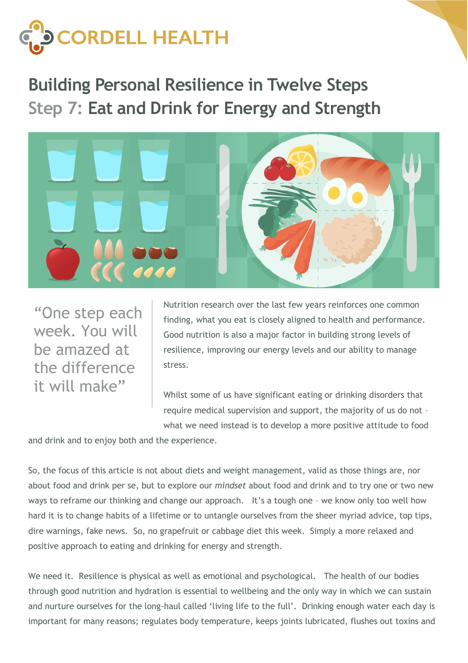

**Building Personal Resilience in Twelve Steps Step 7: Eat and Drink for Energy and Strength**



"One step each week. You will be amazed at the difference it will make"

Nutrition research over the last few years reinforces one common finding, what you eat is closely aligned to health and performance. Good nutrition is also a major factor in building strong levels of resilience, improving our energy levels and our ability to manage stress.

Whilst some of us have significant eating or drinking disorders that require medical supervision and support, the majority of us do not – what we need instead is to develop a more positive attitude to food

and drink and to enjoy both and the experience.

So, the focus of this article is not about diets and weight management, valid as those things are, nor about food and drink per se, but to explore our *mindset* about food and drink and to try one or two new ways to reframe our thinking and change our approach. It's a tough one – we know only too well how hard it is to change habits of a lifetime or to untangle ourselves from the sheer myriad advice, top tips, dire warnings, fake news. So, no grapefruit or cabbage diet this week. Simply a more relaxed and positive approach to eating and drinking for energy and strength.

We need it. Resilience is physical as well as emotional and psychological. The health of our bodies through good nutrition and hydration is essential to wellbeing and the only way in which we can sustain and nurture ourselves for the long-haul called 'living life to the full'. Drinking enough water each day is important for many reasons; regulates body temperature, keeps joints lubricated, flushes out toxins and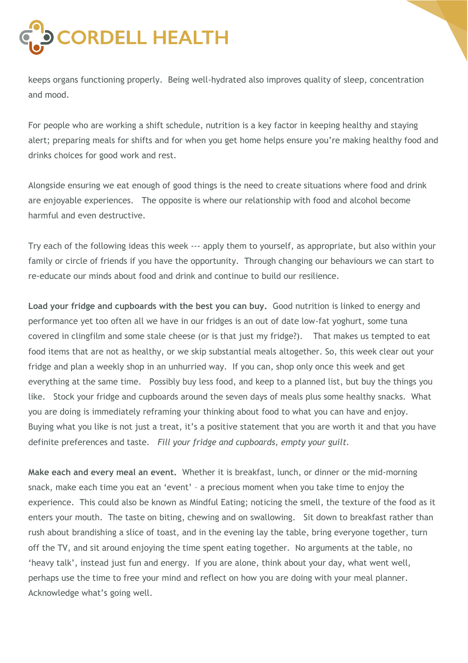

keeps organs functioning properly. Being well-hydrated also improves quality of sleep, concentration and mood.

For people who are working a shift schedule, nutrition is a key factor in keeping healthy and staying alert; preparing meals for shifts and for when you get home helps ensure you're making healthy food and drinks choices for good work and rest.

Alongside ensuring we eat enough of good things is the need to create situations where food and drink are enjoyable experiences. The opposite is where our relationship with food and alcohol become harmful and even destructive.

Try each of the following ideas this week --- apply them to yourself, as appropriate, but also within your family or circle of friends if you have the opportunity. Through changing our behaviours we can start to re-educate our minds about food and drink and continue to build our resilience.

**Load your fridge and cupboards with the best you can buy.** Good nutrition is linked to energy and performance yet too often all we have in our fridges is an out of date low-fat yoghurt, some tuna covered in clingfilm and some stale cheese (or is that just my fridge?). That makes us tempted to eat food items that are not as healthy, or we skip substantial meals altogether. So, this week clear out your fridge and plan a weekly shop in an unhurried way. If you can, shop only once this week and get everything at the same time. Possibly buy less food, and keep to a planned list, but buy the things you like. Stock your fridge and cupboards around the seven days of meals plus some healthy snacks. What you are doing is immediately reframing your thinking about food to what you can have and enjoy. Buying what you like is not just a treat, it's a positive statement that you are worth it and that you have definite preferences and taste. *Fill your fridge and cupboards, empty your guilt.* 

**Make each and every meal an event.** Whether it is breakfast, lunch, or dinner or the mid-morning snack, make each time you eat an 'event' – a precious moment when you take time to enjoy the experience. This could also be known as Mindful Eating; noticing the smell, the texture of the food as it enters your mouth. The taste on biting, chewing and on swallowing. Sit down to breakfast rather than rush about brandishing a slice of toast, and in the evening lay the table, bring everyone together, turn off the TV, and sit around enjoying the time spent eating together. No arguments at the table, no 'heavy talk', instead just fun and energy. If you are alone, think about your day, what went well, perhaps use the time to free your mind and reflect on how you are doing with your meal planner. Acknowledge what's going well.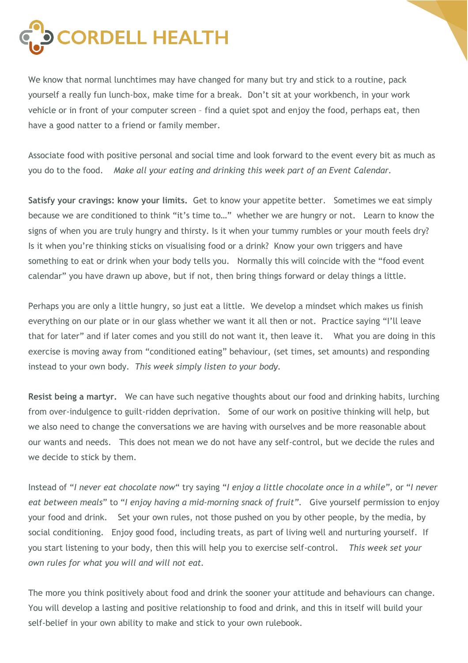

We know that normal lunchtimes may have changed for many but try and stick to a routine, pack yourself a really fun lunch-box, make time for a break. Don't sit at your workbench, in your work vehicle or in front of your computer screen – find a quiet spot and enjoy the food, perhaps eat, then have a good natter to a friend or family member.

Associate food with positive personal and social time and look forward to the event every bit as much as you do to the food. *Make all your eating and drinking this week part of an Event Calendar.*

**Satisfy your cravings: know your limits.** Get to know your appetite better. Sometimes we eat simply because we are conditioned to think "it's time to…" whether we are hungry or not. Learn to know the signs of when you are truly hungry and thirsty. Is it when your tummy rumbles or your mouth feels dry? Is it when you're thinking sticks on visualising food or a drink? Know your own triggers and have something to eat or drink when your body tells you. Normally this will coincide with the "food event calendar" you have drawn up above, but if not, then bring things forward or delay things a little.

Perhaps you are only a little hungry, so just eat a little. We develop a mindset which makes us finish everything on our plate or in our glass whether we want it all then or not. Practice saying "I'll leave that for later" and if later comes and you still do not want it, then leave it. What you are doing in this exercise is moving away from "conditioned eating" behaviour, (set times, set amounts) and responding instead to your own body. *This week simply listen to your body.* 

**Resist being a martyr.** We can have such negative thoughts about our food and drinking habits, lurching from over-indulgence to guilt-ridden deprivation. Some of our work on positive thinking will help, but we also need to change the conversations we are having with ourselves and be more reasonable about our wants and needs. This does not mean we do not have any self-control, but we decide the rules and we decide to stick by them.

Instead of "*I never eat chocolate now*" try saying "*I enjoy a little chocolate once in a while",* or "*I never eat between meals*" to "*I enjoy having a mid-morning snack of fruit"*. Give yourself permission to enjoy your food and drink. Set your own rules, not those pushed on you by other people, by the media, by social conditioning. Enjoy good food, including treats, as part of living well and nurturing yourself. If you start listening to your body, then this will help you to exercise self-control. *This week set your own rules for what you will and will not eat.* 

The more you think positively about food and drink the sooner your attitude and behaviours can change. You will develop a lasting and positive relationship to food and drink, and this in itself will build your self-belief in your own ability to make and stick to your own rulebook.